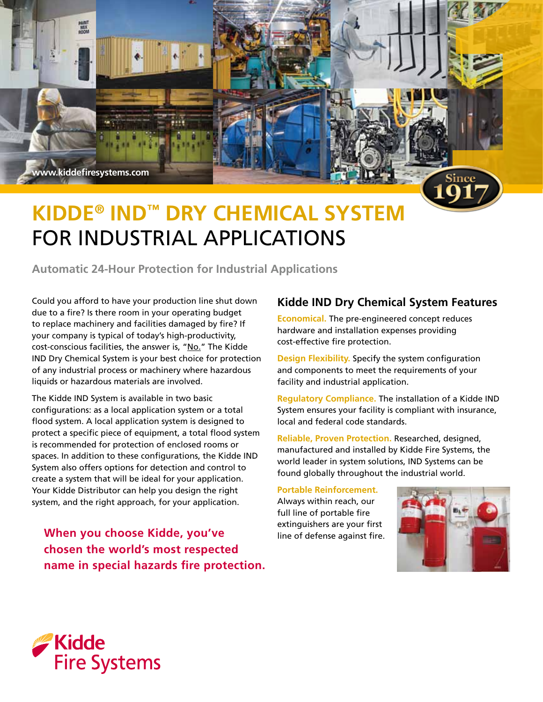

# **Kidde® IND™ Dry Chemical System** for Industrial Applications

**Automatic 24-Hour Protection for Industrial Applications** 

Could you afford to have your production line shut down due to a fire? Is there room in your operating budget to replace machinery and facilities damaged by fire? If your company is typical of today's high-productivity, cost-conscious facilities, the answer is, "No." The Kidde IND Dry Chemical System is your best choice for protection of any industrial process or machinery where hazardous liquids or hazardous materials are involved.

The Kidde IND System is available in two basic configurations: as a local application system or a total flood system. A local application system is designed to protect a specific piece of equipment, a total flood system is recommended for protection of enclosed rooms or spaces. In addition to these configurations, the Kidde IND System also offers options for detection and control to create a system that will be ideal for your application. Your Kidde Distributor can help you design the right system, and the right approach, for your application.

**When you choose Kidde, you've chosen the world's most respected name in special hazards fire protection.**

## **Kidde IND Dry Chemical System Features**

**Economical.** The pre-engineered concept reduces hardware and installation expenses providing cost-effective fire protection.

**Design Flexibility.** Specify the system configuration and components to meet the requirements of your facility and industrial application.

**Regulatory Compliance.** The installation of a Kidde IND System ensures your facility is compliant with insurance, local and federal code standards.

**Reliable, Proven Protection.** Researched, designed, manufactured and installed by Kidde Fire Systems, the world leader in system solutions, IND Systems can be found globally throughout the industrial world.

**Portable Reinforcement.** 

Always within reach, our full line of portable fire extinguishers are your first line of defense against fire.